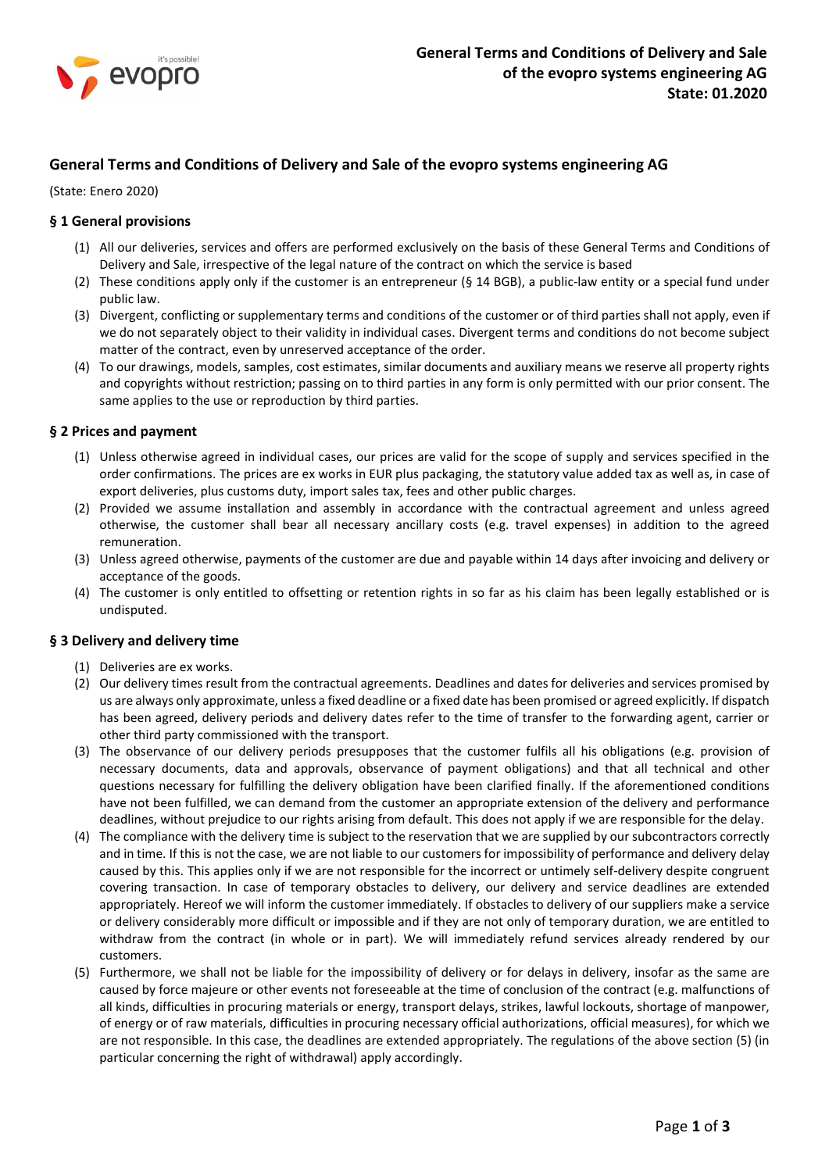

# General Terms and Conditions of Delivery and Sale of the evopro systems engineering AG

(State: Enero 2020)

# § 1 General provisions

- (1) All our deliveries, services and offers are performed exclusively on the basis of these General Terms and Conditions of Delivery and Sale, irrespective of the legal nature of the contract on which the service is based
- (2) These conditions apply only if the customer is an entrepreneur ( $\S$  14 BGB), a public-law entity or a special fund under public law.
- (3) Divergent, conflicting or supplementary terms and conditions of the customer or of third parties shall not apply, even if we do not separately object to their validity in individual cases. Divergent terms and conditions do not become subject matter of the contract, even by unreserved acceptance of the order.
- (4) To our drawings, models, samples, cost estimates, similar documents and auxiliary means we reserve all property rights and copyrights without restriction; passing on to third parties in any form is only permitted with our prior consent. The same applies to the use or reproduction by third parties.

### § 2 Prices and payment

- (1) Unless otherwise agreed in individual cases, our prices are valid for the scope of supply and services specified in the order confirmations. The prices are ex works in EUR plus packaging, the statutory value added tax as well as, in case of export deliveries, plus customs duty, import sales tax, fees and other public charges.
- (2) Provided we assume installation and assembly in accordance with the contractual agreement and unless agreed otherwise, the customer shall bear all necessary ancillary costs (e.g. travel expenses) in addition to the agreed remuneration.
- (3) Unless agreed otherwise, payments of the customer are due and payable within 14 days after invoicing and delivery or acceptance of the goods.
- (4) The customer is only entitled to offsetting or retention rights in so far as his claim has been legally established or is undisputed.

# § 3 Delivery and delivery time

- (1) Deliveries are ex works.
- (2) Our delivery times result from the contractual agreements. Deadlines and dates for deliveries and services promised by us are always only approximate, unless a fixed deadline or a fixed date has been promised or agreed explicitly. If dispatch has been agreed, delivery periods and delivery dates refer to the time of transfer to the forwarding agent, carrier or other third party commissioned with the transport.
- (3) The observance of our delivery periods presupposes that the customer fulfils all his obligations (e.g. provision of necessary documents, data and approvals, observance of payment obligations) and that all technical and other questions necessary for fulfilling the delivery obligation have been clarified finally. If the aforementioned conditions have not been fulfilled, we can demand from the customer an appropriate extension of the delivery and performance deadlines, without prejudice to our rights arising from default. This does not apply if we are responsible for the delay.
- (4) The compliance with the delivery time is subject to the reservation that we are supplied by our subcontractors correctly and in time. If this is not the case, we are not liable to our customers for impossibility of performance and delivery delay caused by this. This applies only if we are not responsible for the incorrect or untimely self-delivery despite congruent covering transaction. In case of temporary obstacles to delivery, our delivery and service deadlines are extended appropriately. Hereof we will inform the customer immediately. If obstacles to delivery of our suppliers make a service or delivery considerably more difficult or impossible and if they are not only of temporary duration, we are entitled to withdraw from the contract (in whole or in part). We will immediately refund services already rendered by our customers.
- (5) Furthermore, we shall not be liable for the impossibility of delivery or for delays in delivery, insofar as the same are caused by force majeure or other events not foreseeable at the time of conclusion of the contract (e.g. malfunctions of all kinds, difficulties in procuring materials or energy, transport delays, strikes, lawful lockouts, shortage of manpower, of energy or of raw materials, difficulties in procuring necessary official authorizations, official measures), for which we are not responsible. In this case, the deadlines are extended appropriately. The regulations of the above section (5) (in particular concerning the right of withdrawal) apply accordingly.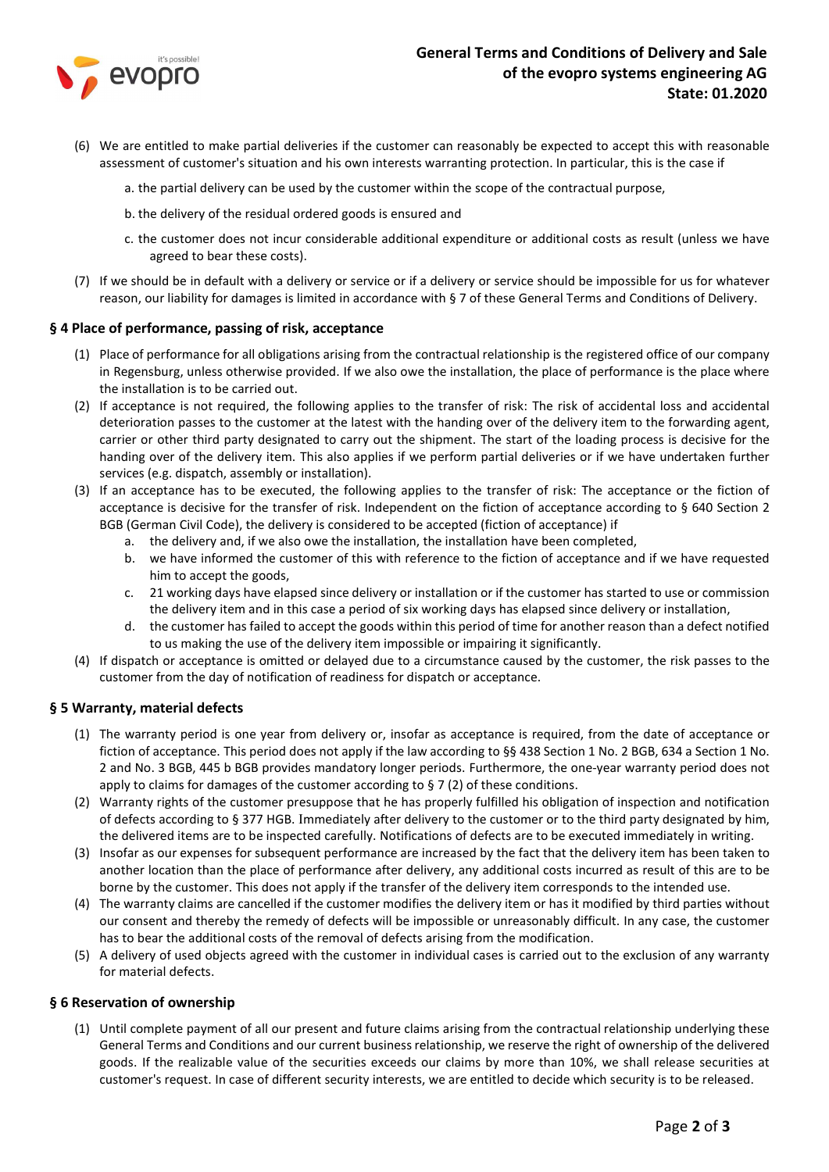

- (6) We are entitled to make partial deliveries if the customer can reasonably be expected to accept this with reasonable assessment of customer's situation and his own interests warranting protection. In particular, this is the case if
	- a. the partial delivery can be used by the customer within the scope of the contractual purpose,
	- b. the delivery of the residual ordered goods is ensured and
	- c. the customer does not incur considerable additional expenditure or additional costs as result (unless we have agreed to bear these costs).
- (7) If we should be in default with a delivery or service or if a delivery or service should be impossible for us for whatever reason, our liability for damages is limited in accordance with § 7 of these General Terms and Conditions of Delivery.

### § 4 Place of performance, passing of risk, acceptance

- (1) Place of performance for all obligations arising from the contractual relationship is the registered office of our company in Regensburg, unless otherwise provided. If we also owe the installation, the place of performance is the place where the installation is to be carried out.
- (2) If acceptance is not required, the following applies to the transfer of risk: The risk of accidental loss and accidental deterioration passes to the customer at the latest with the handing over of the delivery item to the forwarding agent, carrier or other third party designated to carry out the shipment. The start of the loading process is decisive for the handing over of the delivery item. This also applies if we perform partial deliveries or if we have undertaken further services (e.g. dispatch, assembly or installation).
- (3) If an acceptance has to be executed, the following applies to the transfer of risk: The acceptance or the fiction of acceptance is decisive for the transfer of risk. Independent on the fiction of acceptance according to § 640 Section 2 BGB (German Civil Code), the delivery is considered to be accepted (fiction of acceptance) if
	- a. the delivery and, if we also owe the installation, the installation have been completed,
	- b. we have informed the customer of this with reference to the fiction of acceptance and if we have requested him to accept the goods,
	- c. 21 working days have elapsed since delivery or installation or if the customer has started to use or commission the delivery item and in this case a period of six working days has elapsed since delivery or installation,
	- d. the customer has failed to accept the goods within this period of time for another reason than a defect notified to us making the use of the delivery item impossible or impairing it significantly.
- (4) If dispatch or acceptance is omitted or delayed due to a circumstance caused by the customer, the risk passes to the customer from the day of notification of readiness for dispatch or acceptance.

#### § 5 Warranty, material defects

- (1) The warranty period is one year from delivery or, insofar as acceptance is required, from the date of acceptance or fiction of acceptance. This period does not apply if the law according to §§ 438 Section 1 No. 2 BGB, 634 a Section 1 No. 2 and No. 3 BGB, 445 b BGB provides mandatory longer periods. Furthermore, the one-year warranty period does not apply to claims for damages of the customer according to  $\S 7$  (2) of these conditions.
- (2) Warranty rights of the customer presuppose that he has properly fulfilled his obligation of inspection and notification of defects according to § 377 HGB. Immediately after delivery to the customer or to the third party designated by him, the delivered items are to be inspected carefully. Notifications of defects are to be executed immediately in writing.
- (3) Insofar as our expenses for subsequent performance are increased by the fact that the delivery item has been taken to another location than the place of performance after delivery, any additional costs incurred as result of this are to be borne by the customer. This does not apply if the transfer of the delivery item corresponds to the intended use.
- (4) The warranty claims are cancelled if the customer modifies the delivery item or has it modified by third parties without our consent and thereby the remedy of defects will be impossible or unreasonably difficult. In any case, the customer has to bear the additional costs of the removal of defects arising from the modification.
- (5) A delivery of used objects agreed with the customer in individual cases is carried out to the exclusion of any warranty for material defects.

#### § 6 Reservation of ownership

(1) Until complete payment of all our present and future claims arising from the contractual relationship underlying these General Terms and Conditions and our current business relationship, we reserve the right of ownership of the delivered goods. If the realizable value of the securities exceeds our claims by more than 10%, we shall release securities at customer's request. In case of different security interests, we are entitled to decide which security is to be released.